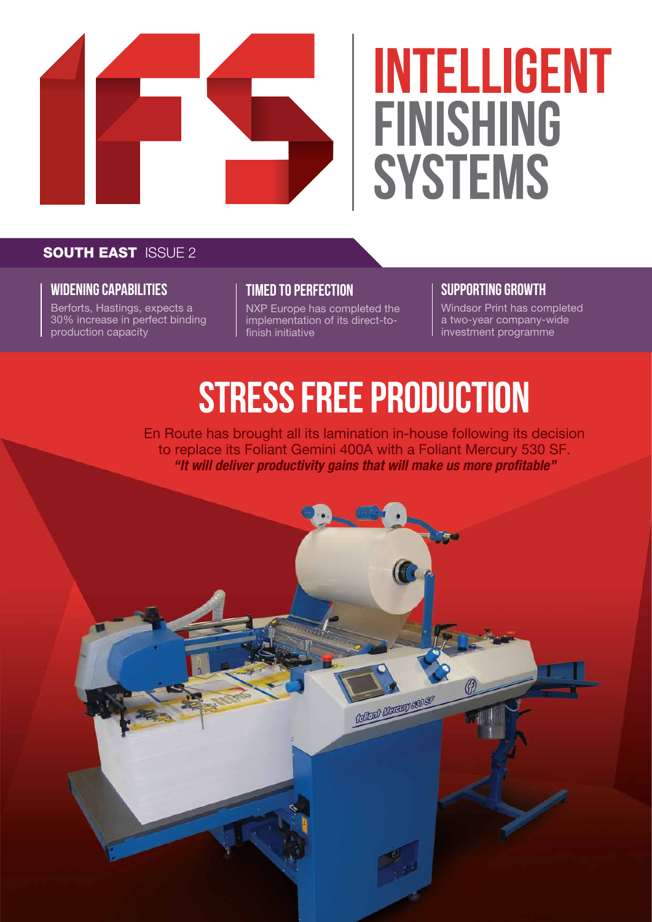

# **INTELLIGENT FINISHING SYSTEMS**

#### **SOUTH EAST ISSUE 2**

#### **WIDENING CAPABILITIES**

Berforts, Hastings, expects a 30% increase in perfect binding production capacity

#### **TIMED TO PERFECTION**

NXP Europe has completed the implementation of its direct-tofinish initiative

#### **SUPPORTING GROWTH**

Windsor Print has completed a two-year company-wide investment programme

## **STRESS FREE PRODUCTION**

En Route has brought all its lamination in-house following its decision to replace its Foliant Gemini 400A with a Foliant Mercury 530 SF. *"It will deliver productivity gains that will make us more profitable"*

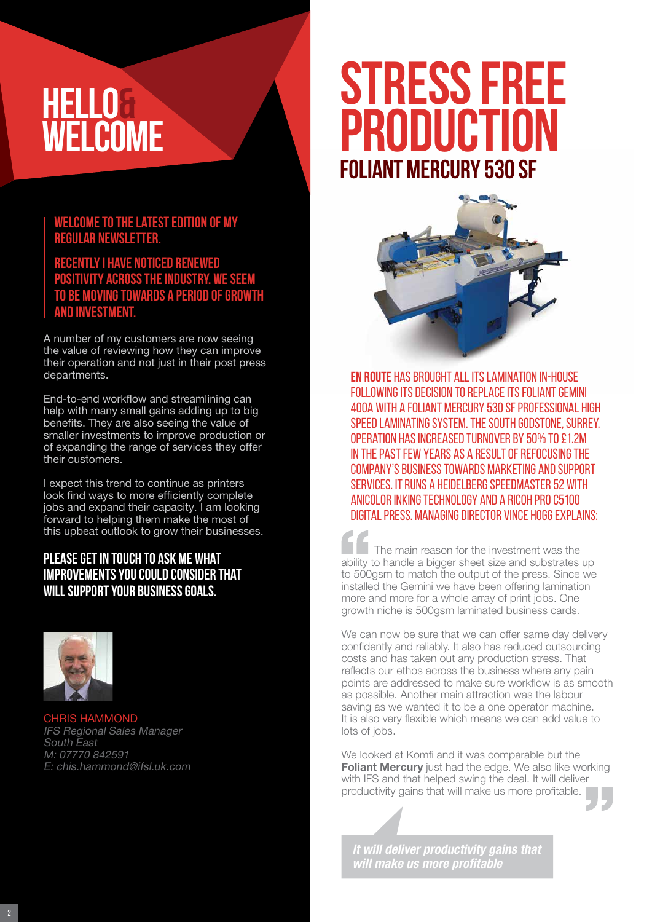### **HELLO& WELCOME**

#### **Welcome to the latest edition of my regular newsletter.**

#### **Recently I have noticed renewed positivity across the industry. We seem to be moving towards a period of growth and investment.**

A number of my customers are now seeing the value of reviewing how they can improve their operation and not just in their post press departments.

End-to-end workflow and streamlining can help with many small gains adding up to big benefits. They are also seeing the value of smaller investments to improve production or of expanding the range of services they offer their customers.

I expect this trend to continue as printers look find ways to more efficiently complete jobs and expand their capacity. I am looking forward to helping them make the most of this upbeat outlook to grow their businesses.

#### **Please get in touch to ask me what improvements you could consider that will support your business goals.**



CHRIS HAMMOND IFS Regional Sales Manager South East M: 07770 842591 E: chis.hammond@ifsl.uk.com

# **STRESS FREE**<br>PRODUCTION **PRODUCTI Foliant MERcury 530 SF**



**En Route** has brought all its lamination in-house following its decision to replace its Foliant Gemini 400A with a Foliant Mercury 530 SF professional high speed laminating system. The South Godstone, Surrey, operation has increased turnover by 50% to £1.2m in the past few years as a result of refocusing the company's business towards marketing and support services. It runs a Heidelberg SpeedMaster 52 with ANICOLOR INKING TECHNOLOGY AND A RICOH PRO C5100 digital press. Managing Director Vince Hogg explains:

The main reason for the investment was the ability to handle a bigger sheet size and substrates up to 500gsm to match the output of the press. Since we installed the Gemini we have been offering lamination more and more for a whole array of print jobs. One growth niche is 500gsm laminated business cards.

We can now be sure that we can offer same day delivery confidently and reliably. It also has reduced outsourcing costs and has taken out any production stress. That reflects our ethos across the business where any pain points are addressed to make sure workflow is as smooth as possible. Another main attraction was the labour saving as we wanted it to be a one operator machine. It is also very flexible which means we can add value to lots of jobs.

We looked at Komfi and it was comparable but the Foliant Mercury just had the edge. We also like working with IFS and that helped swing the deal. It will deliver productivity gains that will make us more profitable.

*It will deliver productivity gains that will make us more profitable*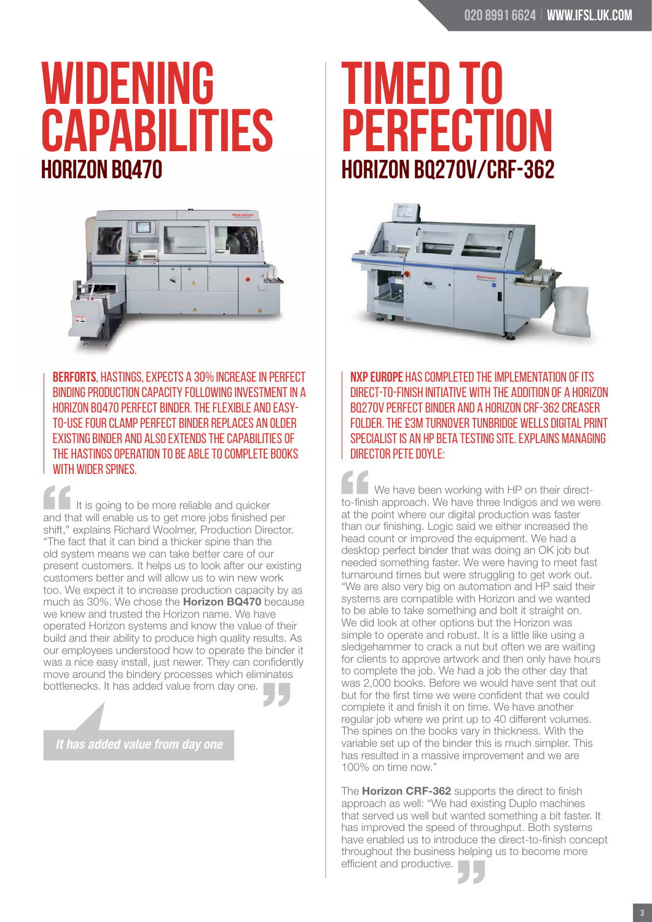# **WIDENING CAPABILITIES Horizon BQ470**



**Berforts**, Hastings, expects a 30% increase in perfect binding production capacity following investment in a Horizon BQ470 perfect binder. The flexible and easyto-use four clamp perfect binder replaces an older existing binder and also extends the capabilities of the Hastings operation to be able to complete books with wider spines.

It is going to be more reliable and quicker and that will enable us to get more jobs finished per shift," explains Richard Woolmer, Production Director. "The fact that it can bind a thicker spine than the old system means we can take better care of our present customers. It helps us to look after our existing customers better and will allow us to win new work too. We expect it to increase production capacity by as much as 30%. We chose the Horizon BQ470 because we knew and trusted the Horizon name. We have operated Horizon systems and know the value of their build and their ability to produce high quality results. As our employees understood how to operate the binder it was a nice easy install, just newer. They can confidently move around the bindery processes which eliminates bottlenecks. It has added value from day one.

*It has added value from day one*

# **TIMED TO RFFCTI Horizon BQ270V/CRF-362**



**NXP Europe** has completed the implementation of its direct-to-finish initiative with the addition of a Horizon BQ270V perfect binder and a Horizon CRF-362 creaser FOLDER. THE £3M TURNOVER TUNBRIDGE WELLS DIGITAL PRINT specialist is an HP beta testing site. Explains managing director Pete Doyle:

We have been working with HP on their directto-finish approach. We have three Indigos and we were at the point where our digital production was faster than our finishing. Logic said we either increased the head count or improved the equipment. We had a desktop perfect binder that was doing an OK job but needed something faster. We were having to meet fast turnaround times but were struggling to get work out. "We are also very big on automation and HP said their systems are compatible with Horizon and we wanted to be able to take something and bolt it straight on. We did look at other options but the Horizon was simple to operate and robust. It is a little like using a sledgehammer to crack a nut but often we are waiting for clients to approve artwork and then only have hours to complete the job. We had a job the other day that was 2,000 books. Before we would have sent that out but for the first time we were confident that we could complete it and finish it on time. We have another regular job where we print up to 40 different volumes. The spines on the books vary in thickness. With the variable set up of the binder this is much simpler. This has resulted in a massive improvement and we are 100% on time now."

The **Horizon CRF-362** supports the direct to finish approach as well: "We had existing Duplo machines that served us well but wanted something a bit faster. It has improved the speed of throughput. Both systems have enabled us to introduce the direct-to-finish concept throughout the business helping us to become more efficient and productive.